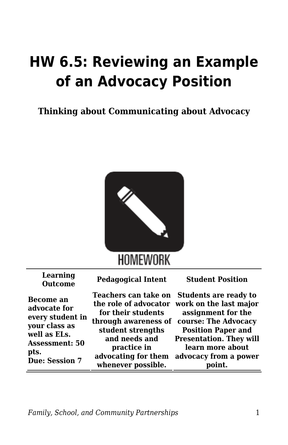## **HW 6.5: Reviewing an Example of an Advocacy Position**

**Thinking about Communicating about Advocacy**



| Learning<br><b>Outcome</b>                                                                                                               | <b>Pedagogical Intent</b>                                                                                                                    | <b>Student Position</b>                                                                                                                                                                                                                                       |
|------------------------------------------------------------------------------------------------------------------------------------------|----------------------------------------------------------------------------------------------------------------------------------------------|---------------------------------------------------------------------------------------------------------------------------------------------------------------------------------------------------------------------------------------------------------------|
| Become an<br>advocate for<br>every student in<br>your class as<br>well as ELs.<br><b>Assessment: 50</b><br>pts.<br><b>Due: Session 7</b> | for their students<br>through awareness of<br>student strengths<br>and needs and<br>practice in<br>advocating for them<br>whenever possible. | Teachers can take on Students are ready to<br>the role of advocator work on the last major<br>assignment for the<br>course: The Advocacy<br><b>Position Paper and</b><br><b>Presentation. They will</b><br>learn more about<br>advocacy from a power<br>oint. |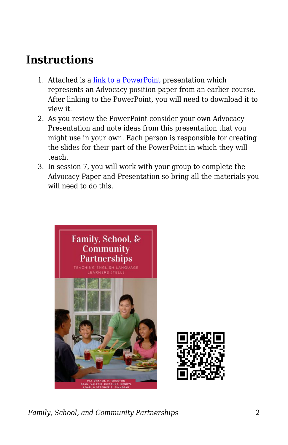## **Instructions**

- 1. Attached is a [link to a PowerPoint](https://byu.box.com/s/pc4iqs84jingle6r0m9fwpzf6crcqngy) presentation which represents an Advocacy position paper from an earlier course. After linking to the PowerPoint, you will need to download it to view it.
- 2. As you review the PowerPoint consider your own Advocacy Presentation and note ideas from this presentation that you might use in your own. Each person is responsible for creating the slides for their part of the PowerPoint in which they will teach.
- 3. In session 7, you will work with your group to complete the Advocacy Paper and Presentation so bring all the materials you will need to do this.





*Family, School, and Community Partnerships* 2